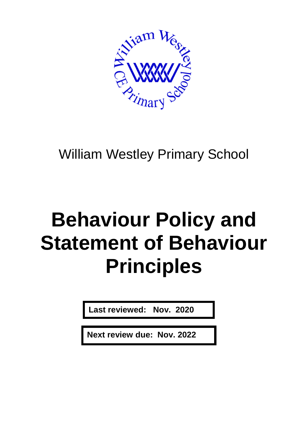

# William Westley Primary School

# **Behaviour Policy and Statement of Behaviour Principles**

**Last reviewed: Nov. 2020**

**Next review due: Nov. 2022**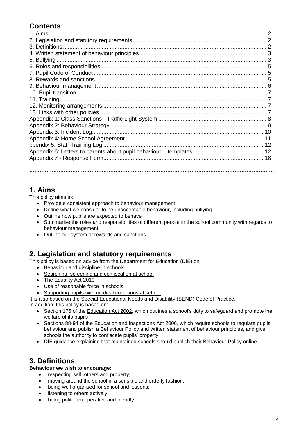# **Contents**

#### **1. Aims**

This policy aims to:

- Provide a consistent approach to behaviour management
- Define what we consider to be unacceptable behaviour, including bullying
- Outline how pupils are expected to behave
- Summarise the roles and responsibilities of different people in the school community with regards to behaviour management

**…………………………………………………………………………………………………………………………….**

Outline our system of rewards and sanctions

#### **2. Legislation and statutory requirements**

This policy is based on advice from the Department for Education (DfE) on:

- [Behaviour and discipline in schools](https://www.gov.uk/government/publications/behaviour-and-discipline-in-schools)
- [Searching, screening and confiscation at school](https://www.gov.uk/government/publications/searching-screening-and-confiscation)
- [The Equality Act 2010](https://www.gov.uk/government/publications/equality-act-2010-advice-for-schools)
- [Use of reasonable force in schools](https://www.gov.uk/government/publications/use-of-reasonable-force-in-schools)
- [Supporting pupils with medical conditions at school](https://www.gov.uk/government/publications/supporting-pupils-at-school-with-medical-conditions--3)

It is also based on the [Special Educational Needs and Disability \(SEND\) Code of Practice.](https://www.gov.uk/government/publications/send-code-of-practice-0-to-25)

In addition, this policy is based on:

- Section 175 of the **Education Act 2002**, which outlines a school's duty to safeguard and promote the welfare of its pupils
- Sections 88-94 of the [Education and Inspections Act 2006,](http://www.legislation.gov.uk/ukpga/2006/40/section/88) which require schools to regulate pupils' behaviour and publish a Behaviour Policy and written statement of behaviour principles, and give schools the authority to confiscate pupils' property
- [DfE guidance](https://www.gov.uk/guidance/what-maintained-schools-must-publish-online#behaviour-policy) explaining that maintained schools should publish their Behaviour Policy online

# **3. Definitions**

#### **Behaviour we wish to encourage:**

- respecting self, others and property;
	- moving around the school in a sensible and orderly fashion;
	- being well organised for school and lessons;
	- listening to others actively;
	- being polite, co-operative and friendly;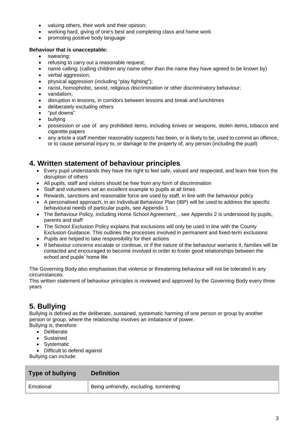- valuing others, their work and their opinion;
- working hard, giving of one's best and completing class and home work
- promoting positive body language

#### **Behaviour that is unacceptable:**

- swearing;
- refusing to carry out a reasonable request;
- name calling; (calling children any name other than the name they have agreed to be known by)
- verbal aggression;
- physical aggression (including "play fighting");
- racist, homophobic, sexist, religious discrimination or other discriminatory behaviour;
- vandalism:
- disruption in lessons, in corridors between lessons and break and lunchtimes
- deliberately excluding others
- "put downs"
- bullying
- possession or use of any prohibited items, including knives or weapons, stolen items, tobacco and cigarette papers
- any article a staff member reasonably suspects has been, or is likely to be, used to commit an offence, or to cause personal injury to, or damage to the property of, any person (including the pupil)

#### **4. Written statement of behaviour principles**

- Every pupil understands they have the right to feel safe, valued and respected, and learn free from the disruption of others
- All pupils, staff and visitors should be free from any form of discrimination
- Staff and volunteers set an excellent example to pupils at all times
- Rewards, sanctions and reasonable force are used by staff, in line with the behaviour policy
- A personalised approach, in an Individual Behaviour Plan (IBP) will be used to address the specific behavioural needs of particular pupils, see Appendix 1
- The Behaviour Policy, including Home School Agreement, , see Appendix 2 is understood by pupils, parents and staff
- The School Exclusion Policy explains that exclusions will only be used in line with the County Exclusion Guidance. This outlines the processes involved in permanent and fixed-term exclusions
- Pupils are helped to take responsibility for their actions
- If behaviour concerns escalate or continue, or if the nature of the behaviour warrants it, families will be contacted and encouraged to become involved in order to foster good relationships between the school and pupils' home life

The Governing Body also emphasises that violence or threatening behaviour will not be tolerated in any circumstances.

This written statement of behaviour principles is reviewed and approved by the Governing Body every three years

# **5. Bullying**

Bullying is defined as the deliberate, sustained, systematic harming of one person or group by another person or group, where the relationship involves an imbalance of power. Bullying is, therefore:

- Deliberate
- Sustained
- Systematic
- Difficult to defend against

Bullying can include:

| <b>Type of bullying</b> | <b>Definition</b>                       |
|-------------------------|-----------------------------------------|
| Emotional               | Being unfriendly, excluding, tormenting |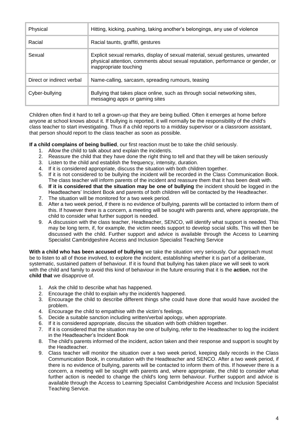| Physical                  | Hitting, kicking, pushing, taking another's belongings, any use of violence                                                                                                                 |
|---------------------------|---------------------------------------------------------------------------------------------------------------------------------------------------------------------------------------------|
| Racial                    | Racial taunts, graffiti, gestures                                                                                                                                                           |
| Sexual                    | Explicit sexual remarks, display of sexual material, sexual gestures, unwanted<br>physical attention, comments about sexual reputation, performance or gender, or<br>inappropriate touching |
| Direct or indirect verbal | Name-calling, sarcasm, spreading rumours, teasing                                                                                                                                           |
| Cyber-bullying            | Bullying that takes place online, such as through social networking sites,<br>messaging apps or gaming sites                                                                                |

Children often find it hard to tell a grown-up that they are being bullied. Often it emerges at home before anyone at school knows about it. If bullying is reported, it will normally be the responsibility of the child's class teacher to start investigating. Thus if a child reports to a midday supervisor or a classroom assistant, that person should report to the class teacher as soon as possible.

**If a child complains of being bullied**, our first reaction must be to take the child seriously.

- 1. Allow the child to talk about and explain the incident/s.
- 2. Reassure the child that they have done the right thing to tell and that they will be taken seriously
- 3. Listen to the child and establish the frequency, intensity, duration.
- 4. If it is considered appropriate, discuss the situation with both children together.<br>5. If it is not considered to be bullying the incident will be recorded in the Class (
- If it is not considered to be bullying the incident will be recorded in the Class Communication Book. The class teacher will inform parents of the incident and reassure them that it has been dealt with.
- 6. **If it is considered that the situation may be one of bullying** the incident should be logged in the Headteachers' Incident Book and parents of both children will be contacted by the Headteacher.
- 7. The situation will be monitored for a two week period.
- 8. After a two week period, if there is no evidence of bullying, parents will be contacted to inform them of this. If however there is a concern, a meeting will be sought with parents and, where appropriate, the child to consider what further support is needed.
- 9. A discussion with the class teacher, Headteacher, SENCO, will identify what support is needed. This may be long term, if, for example, the victim needs support to develop social skills. This will then be discussed with the child. Further support and advice is available through the Access to Learning Specialist Cambridgeshire Access and Inclusion Specialist Teaching Service

**With a child who has been accused of bullying** we take the situation very seriously. Our approach must be to listen to all of those involved, to explore the incident, establishing whether it is part of a deliberate, systematic, sustained pattern of behaviour. If it is found that bullying has taken place we will seek to work with the child and family to avoid this kind of behaviour in the future ensuring that it is the **action**, not the **child that** we disapprove of.

- 1. Ask the child to describe what has happened.
- 2. Encourage the child to explain why the incident/s happened.
- 3. Encourage the child to describe different things s/he could have done that would have avoided the problem.
- 4. Encourage the child to empathise with the victim's feelings.
- 5. Decide a suitable sanction including written/verbal apology, when appropriate.
- 6. If it is considered appropriate, discuss the situation with both children together.
- 7. If it is considered that the situation may be one of bullying, refer to the Headteacher to log the incident in the Headteacher's Incident Book
- 8. The child's parents informed of the incident, action taken and their response and support is sought by the Headteacher.
- 9. Class teacher will monitor the situation over a two week period, keeping daily records in the Class Communication Book, in consultation with the Headteacher and SENCO. After a two week period, if there is no evidence of bullying, parents will be contacted to inform them of this. If however there is a concern, a meeting will be sought with parents and, where appropriate, the child to consider what further action is needed to change the child's long term behaviour. Further support and advice is available through the Access to Learning Specialist Cambridgeshire Access and Inclusion Specialist Teaching Service.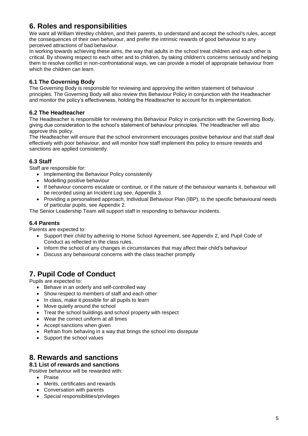### **6. Roles and responsibilities**

We want all William Westley children, and their parents, to understand and accept the school's rules, accept the consequences of their own behaviour, and prefer the intrinsic rewards of good behaviour to any perceived attractions of bad behaviour.

In working towards achieving these aims, the way that adults in the school treat children and each other is critical. By showing respect to each other and to children, by taking children's concerns seriously and helping them to resolve conflict in non-confrontational ways, we can provide a model of appropriate behaviour from which the children can learn.

#### **6.1 The Governing Body**

The Governing Body is responsible for reviewing and approving the written statement of behaviour principles. The Governing Body will also review this Behaviour Policy in conjunction with the Headteacher and monitor the policy's effectiveness, holding the Headteacher to account for its implementation.

#### **6.2 The Headteacher**

The Headteacher is responsible for reviewing this Behaviour Policy in conjunction with the Governing Body, giving due consideration to the school's statement of behaviour principles. The Headteacher will also approve this policy.

The Headteacher will ensure that the school environment encourages positive behaviour and that staff deal effectively with poor behaviour, and will monitor how staff implement this policy to ensure rewards and sanctions are applied consistently.

#### **6.3 Staff**

Staff are responsible for:

- Implementing the Behaviour Policy consistently
- Modelling positive behaviour
- If behaviour concerns escalate or continue, or if the nature of the behaviour warrants it, behaviour will be recorded using an Incident Log see, Appendix 3.
- Providing a personalised approach, Individual Behaviour Plan (IBP), to the specific behavioural needs of particular pupils, see Appendix 2.

The Senior Leadership Team will support staff in responding to behaviour incidents.

#### **6.4 Parents**

Parents are expected to:

- Support their child by adhering to Home School Agreement, see Appendix 2, and Pupil Code of Conduct as reflected in the class rules.
- Inform the school of any changes in circumstances that may affect their child's behaviour
- Discuss any behavioural concerns with the class teacher promptly

# **7. Pupil Code of Conduct**

Pupils are expected to:

- Behave in an orderly and self-controlled way
- Show respect to members of staff and each other
- In class, make it possible for all pupils to learn
- Move quietly around the school
- Treat the school buildings and school property with respect
- Wear the correct uniform at all times
- Accept sanctions when given
- Refrain from behaving in a way that brings the school into disrepute
- Support the school values

#### **8. Rewards and sanctions**

**8.1 List of rewards and sanctions**

Positive behaviour will be rewarded with:

- Praise
- Merits, certificates and rewards
- Conversation with parents
- Special responsibilities/privileges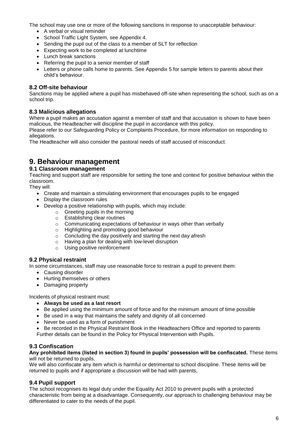The school may use one or more of the following sanctions in response to unacceptable behaviour:

- A verbal or visual reminder
- School Traffic Light System, see Appendix 4.
- Sending the pupil out of the class to a member of SLT for reflection
- Expecting work to be completed at lunchtime
- Lunch break sanctions
- Referring the pupil to a senior member of staff
- Letters or phone calls home to parents. See Appendix 5 for sample letters to parents about their child's behaviour.

#### **8.2 Off-site behaviour**

Sanctions may be applied where a pupil has misbehaved off-site when representing the school, such as on a school trip.

#### **8.3 Malicious allegations**

Where a pupil makes an accusation against a member of staff and that accusation is shown to have been malicious, the Headteacher will discipline the pupil in accordance with this policy.

Please refer to our Safeguarding Policy or Complaints Procedure, for more information on responding to allegations.

The Headteacher will also consider the pastoral needs of staff accused of misconduct.

#### **9. Behaviour management**

#### **9.1 Classroom management**

Teaching and support staff are responsible for setting the tone and context for positive behaviour within the classroom.

They will:

- Create and maintain a stimulating environment that encourages pupils to be engaged
- Display the classroom rules
- Develop a positive relationship with pupils, which may include:
	- o Greeting pupils in the morning
	- o Establishing clear routines
	- Communicating expectations of behaviour in ways other than verbally
	-
	- o Communicating expectations of behaviour in<br>
	Highlighting and promoting good behaviour<br>
	Concluding the day positively and starting the Concluding the day positively and starting the next day afresh
	- o Having a plan for dealing with low-level disruption
	- o Using positive reinforcement

#### **9.2 Physical restraint**

In some circumstances, staff may use reasonable force to restrain a pupil to prevent them:

- Causing disorder
- Hurting themselves or others
- Damaging property

Incidents of physical restraint must:

- **Always be used as a last resort**
- Be applied using the minimum amount of force and for the minimum amount of time possible
- Be used in a way that maintains the safety and dignity of all concerned
- Never be used as a form of punishment
- Be recorded in the Physical Restraint Book in the Headteachers Office and reported to parents Further details can be found in the Policy for Physical Intervention with Pupils.

#### **9.3 Confiscation**

**Any prohibited items (listed in section 3) found in pupils' possession will be confiscated.** These items will not be returned to pupils.

We will also confiscate any item which is harmful or detrimental to school discipline. These items will be returned to pupils and if appropriate a discussion will be had with parents,

#### **9.4 Pupil support**

The school recognises its legal duty under the Equality Act 2010 to prevent pupils with a protected characteristic from being at a disadvantage. Consequently, our approach to challenging behaviour may be differentiated to cater to the needs of the pupil.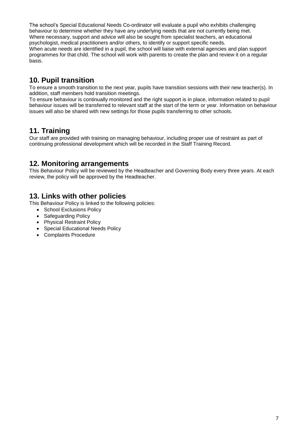The school's Special Educational Needs Co-ordinator will evaluate a pupil who exhibits challenging behaviour to determine whether they have any underlying needs that are not currently being met. Where necessary, support and advice will also be sought from specialist teachers, an educational psychologist, medical practitioners and/or others, to identify or support specific needs. When acute needs are identified in a pupil, the school will liaise with external agencies and plan support programmes for that child. The school will work with parents to create the plan and review it on a regular basis.

# **10. Pupil transition**

To ensure a smooth transition to the next year, pupils have transition sessions with their new teacher(s). In addition, staff members hold transition meetings.

To ensure behaviour is continually monitored and the right support is in place, information related to pupil behaviour issues will be transferred to relevant staff at the start of the term or year. Information on behaviour issues will also be shared with new settings for those pupils transferring to other schools.

#### **11. Training**

Our staff are provided with training on managing behaviour, including proper use of restraint as part of continuing professional development which will be recorded in the Staff Training Record.

#### **12. Monitoring arrangements**

This Behaviour Policy will be reviewed by the Headteacher and Governing Body every three years. At each review, the policy will be approved by the Headteacher.

#### **13. Links with other policies**

This Behaviour Policy is linked to the following policies:

- School Exclusions Policy
- Safeguarding Policy
- Physical Restraint Policy
- Special Educational Needs Policy
- Complaints Procedure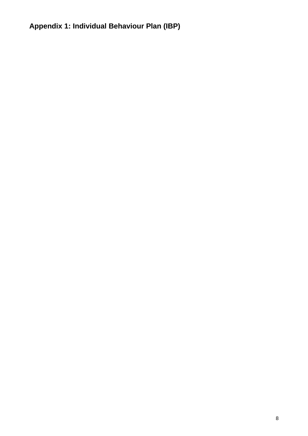# **Appendix 1: Individual Behaviour Plan (IBP)**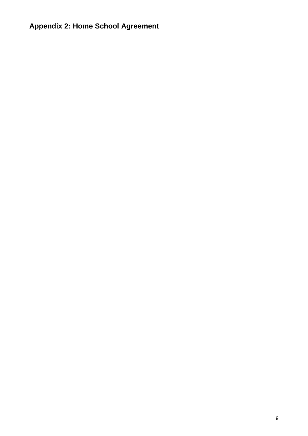# **Appendix 2: Home School Agreement**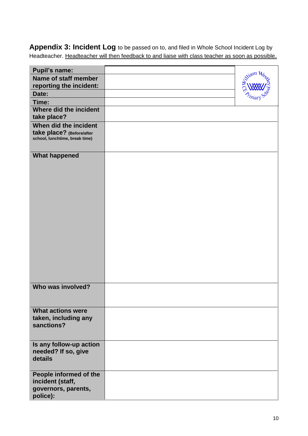**Appendix 3: Incident Log** to be passed on to, and filed in Whole School Incident Log by Headteacher. Headteacher will then feedback to and liaise with class teacher as soon as possible.

| <b>Pupil's name:</b>           |       |
|--------------------------------|-------|
|                                | iam h |
| Name of staff member           |       |
| reporting the incident:        |       |
| Date:                          |       |
| Time:                          |       |
| Where did the incident         |       |
| take place?                    |       |
| When did the incident          |       |
| take place? (Before/after      |       |
| school, lunchtime, break time) |       |
|                                |       |
| <b>What happened</b>           |       |
|                                |       |
|                                |       |
|                                |       |
|                                |       |
|                                |       |
|                                |       |
|                                |       |
|                                |       |
|                                |       |
|                                |       |
|                                |       |
|                                |       |
|                                |       |
|                                |       |
|                                |       |
|                                |       |
|                                |       |
| Who was involved?              |       |
|                                |       |
|                                |       |
| <b>What actions were</b>       |       |
| taken, including any           |       |
| sanctions?                     |       |
|                                |       |
|                                |       |
| Is any follow-up action        |       |
| needed? If so, give            |       |
| details                        |       |
|                                |       |
| People informed of the         |       |
| incident (staff,               |       |
| governors, parents,            |       |
| police):                       |       |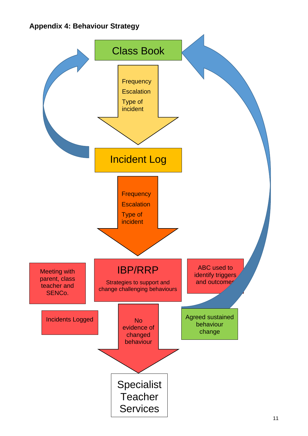# **Appendix 4: Behaviour Strategy**

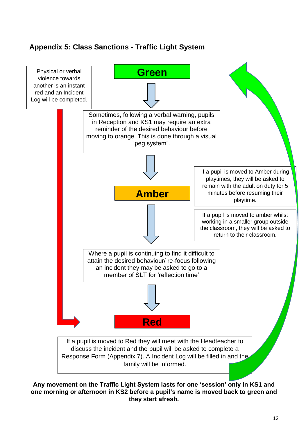# **Appendix 5: Class Sanctions - Traffic Light System**



**Any movement on the Traffic Light System lasts for one 'session' only in KS1 and one morning or afternoon in KS2 before a pupil's name is moved back to green and they start afresh.**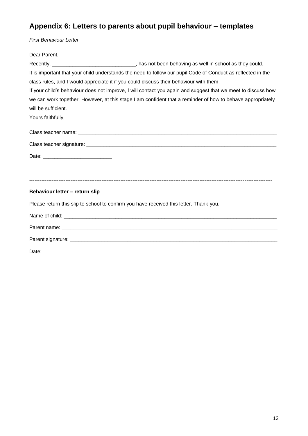# **Appendix 6: Letters to parents about pupil behaviour – templates**

*First Behaviour Letter*

| Dear Parent,                                                                                                 |                                                                                                     |  |  |  |  |  |
|--------------------------------------------------------------------------------------------------------------|-----------------------------------------------------------------------------------------------------|--|--|--|--|--|
|                                                                                                              | Recently, _________________________________, has not been behaving as well in school as they could. |  |  |  |  |  |
| It is important that your child understands the need to follow our pupil Code of Conduct as reflected in the |                                                                                                     |  |  |  |  |  |
| class rules, and I would appreciate it if you could discuss their behaviour with them.                       |                                                                                                     |  |  |  |  |  |
| If your child's behaviour does not improve, I will contact you again and suggest that we meet to discuss how |                                                                                                     |  |  |  |  |  |
| we can work together. However, at this stage I am confident that a reminder of how to behave appropriately   |                                                                                                     |  |  |  |  |  |
| will be sufficient.                                                                                          |                                                                                                     |  |  |  |  |  |
| Yours faithfully,                                                                                            |                                                                                                     |  |  |  |  |  |
|                                                                                                              |                                                                                                     |  |  |  |  |  |
|                                                                                                              |                                                                                                     |  |  |  |  |  |
|                                                                                                              |                                                                                                     |  |  |  |  |  |
|                                                                                                              |                                                                                                     |  |  |  |  |  |
|                                                                                                              |                                                                                                     |  |  |  |  |  |
| Behaviour letter - return slip                                                                               |                                                                                                     |  |  |  |  |  |
| Please return this slip to school to confirm you have received this letter. Thank you.                       |                                                                                                     |  |  |  |  |  |
|                                                                                                              |                                                                                                     |  |  |  |  |  |
|                                                                                                              |                                                                                                     |  |  |  |  |  |
|                                                                                                              |                                                                                                     |  |  |  |  |  |
|                                                                                                              |                                                                                                     |  |  |  |  |  |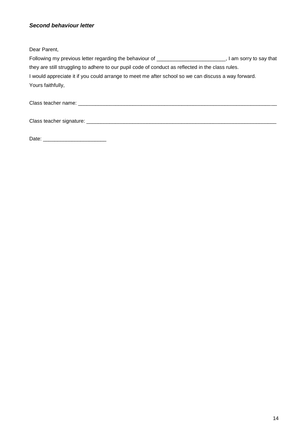#### *Second behaviour letter*

Dear Parent,

| Following my previous letter regarding the behaviour of                                             | I am sorry to say that |
|-----------------------------------------------------------------------------------------------------|------------------------|
| they are still struggling to adhere to our pupil code of conduct as reflected in the class rules.   |                        |
| I would appreciate it if you could arrange to meet me after school so we can discuss a way forward. |                        |
| Yours faithfully,                                                                                   |                        |
|                                                                                                     |                        |

Class teacher name: \_\_\_\_\_\_\_\_\_\_\_\_\_\_\_\_\_\_\_\_\_\_\_\_\_\_\_\_\_\_\_\_\_\_\_\_\_\_\_\_\_\_\_\_\_\_\_\_\_\_\_\_\_\_\_\_\_\_\_\_\_\_\_\_\_\_\_\_\_

Class teacher signature: \_\_\_\_\_\_\_\_\_\_\_\_\_\_\_\_\_\_\_\_\_\_\_\_\_\_\_\_\_\_\_\_\_\_\_\_\_\_\_\_\_\_\_\_\_\_\_\_\_\_\_\_\_\_\_\_\_\_\_\_\_\_\_\_\_\_

Date: \_\_\_\_\_\_\_\_\_\_\_\_\_\_\_\_\_\_\_\_\_\_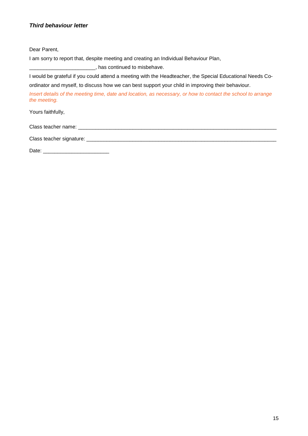#### *Third behaviour letter*

Dear Parent,

I am sorry to report that, despite meeting and creating an Individual Behaviour Plan,

\_\_\_\_\_\_\_\_\_\_\_\_\_\_\_\_\_\_\_\_\_\_\_, has continued to misbehave.

I would be grateful if you could attend a meeting with the Headteacher, the Special Educational Needs Coordinator and myself, to discuss how we can best support your child in improving their behaviour.

*Insert details of the meeting time, date and location, as necessary, or how to contact the school to arrange the meeting.*

Yours faithfully,

Class teacher name: \_\_\_\_\_\_\_\_\_\_\_\_\_\_\_\_\_\_\_\_\_\_\_\_\_\_\_\_\_\_\_\_\_\_\_\_\_\_\_\_\_\_\_\_\_\_\_\_\_\_\_\_\_\_\_\_\_\_\_\_\_\_\_\_\_\_\_\_\_

Class teacher signature: \_\_\_\_\_\_\_\_\_\_\_\_\_\_\_\_\_\_\_\_\_\_\_\_\_\_\_\_\_\_\_\_\_\_\_\_\_\_\_\_\_\_\_\_\_\_\_\_\_\_\_\_\_\_\_\_\_\_\_\_\_\_\_\_\_\_

Date:  $\Box$